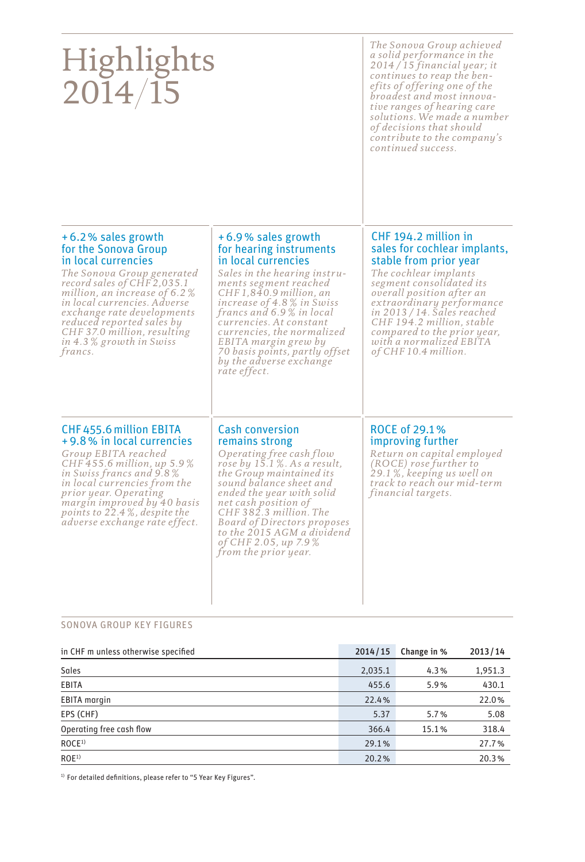| Highlights<br>2014/15                                                                                                                                                                                                                                                                                                             |                                                                                                                                                                                                                                                                                                                                                                                     | The Sonova Group achieved<br>a solid performance in the<br>$2014/15$ financial year; it<br>continues to reap the ben-<br>efits of offering one of the<br>broadest and most innova-<br>tive ranges of hearing care<br>solutions. We made a number<br>of decisions that should<br>contribute to the company's<br>continued success.                    |
|-----------------------------------------------------------------------------------------------------------------------------------------------------------------------------------------------------------------------------------------------------------------------------------------------------------------------------------|-------------------------------------------------------------------------------------------------------------------------------------------------------------------------------------------------------------------------------------------------------------------------------------------------------------------------------------------------------------------------------------|------------------------------------------------------------------------------------------------------------------------------------------------------------------------------------------------------------------------------------------------------------------------------------------------------------------------------------------------------|
| +6.2% sales growth<br>for the Sonova Group<br>in local currencies<br>The Sonova Group generated<br>record sales of CHF2,035.1<br>million, an increase of $6.2\%$<br>in local currencies. Adverse<br>exchange rate developments<br>reduced reported sales by<br>CHF 37.0 million, resulting<br>in 4.3 % growth in Swiss<br>francs. | +6.9% sales growth<br>for hearing instruments<br>in local currencies<br>Sales in the hearing instru-<br>ments segment reached<br>$CHF1,840.9$ million, an<br>increase of $4.8\%$ in Swiss<br>francs and 6.9% in local<br>currencies. At constant<br>currencies, the normalized<br>EBITA margin grew by<br>70 basis points, partly offset<br>by the adverse exchange<br>rate effect. | CHF 194.2 million in<br>sales for cochlear implants,<br>stable from prior year<br>The cochlear implants<br>segment consolidated its<br><i>overall</i> position after an<br>extraordinary performance<br>$in$ 2013 / 14. Sales reached<br>CHF 194.2 million, stable<br>compared to the prior year,<br>with a normalized EBITA<br>of CHF 10.4 million. |
| CHF 455.6 million EBITA<br>+9.8% in local currencies<br>Group EBITA reached<br>CHF 455.6 million, up 5.9%<br>in Swiss francs and 9.8%<br>in local currencies from the<br><i>prior year.</i> Operating<br>margin improved by 40 basis<br>points to 22.4%, despite the<br>adverse exchange rate effect.                             | <b>Cash conversion</b><br>remains strong<br>Operating free cash flow<br>rose by $15.1\%$ . As a result,<br>the Group maintained its<br>sound balance sheet and<br>ended the year with solid<br>net cash position of<br>CHF 382.3 million. The<br>Board of Directors proposes<br>to the 2015 AGM a dividend<br>of CHF 2.05, up 7.9%<br>from the prior year.                          | ROCE of 29.1%<br>improving further<br>Return on capital employed<br>(ROCE) rose further to<br>29.1%, keeping us well on<br>track to reach our mid-term<br>financial targets.                                                                                                                                                                         |

### SONOVA GROUP KEY FIGURES

| in CHF m unless otherwise specified | 2014/15 | Change in % | 2013/14 |
|-------------------------------------|---------|-------------|---------|
| Sales                               | 2,035.1 | 4.3%        | 1,951.3 |
| EBITA                               | 455.6   | 5.9%        | 430.1   |
| <b>EBITA</b> margin                 | 22.4%   |             | 22.0%   |
| EPS (CHF)                           | 5.37    | 5.7%        | 5.08    |
| Operating free cash flow            | 366.4   | 15.1%       | 318.4   |
| ROCE <sup>1</sup>                   | 29.1%   |             | 27.7%   |
| ROE <sup>1</sup>                    | 20.2%   |             | 20.3%   |

 $1)$  For detailed definitions, please refer to "5 Year Key Figures".